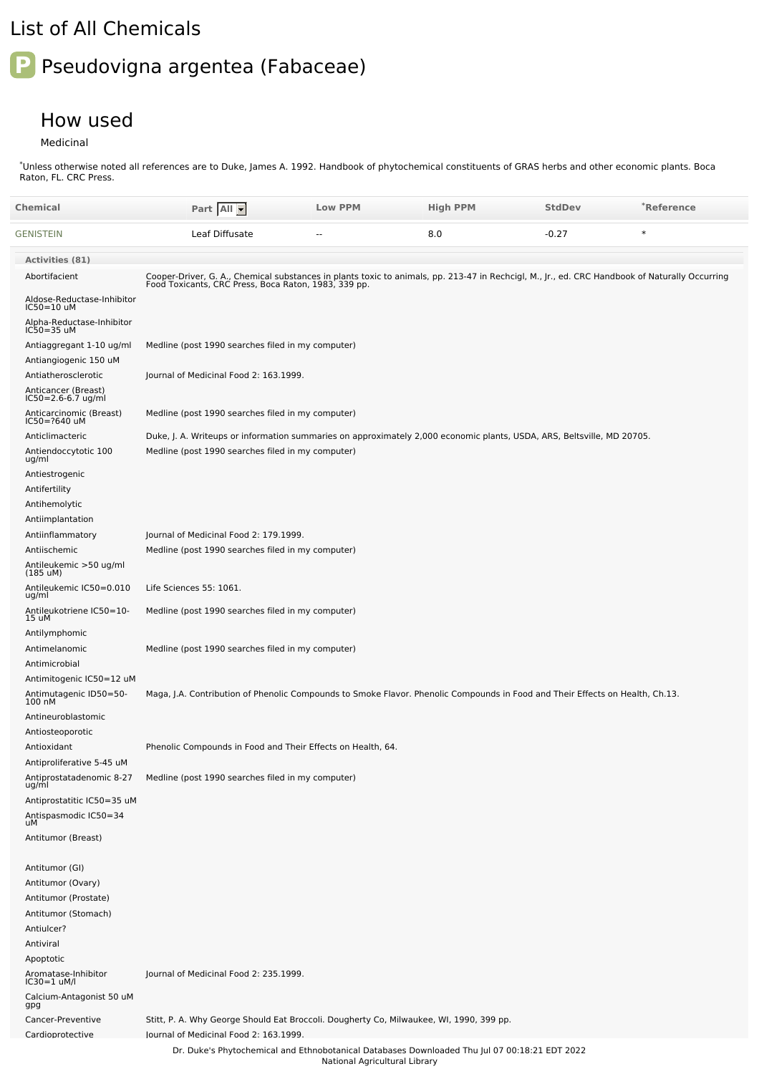## List of All Chemicals

## **P** Pseudovigna argentea (Fabaceae)

## How used

Medicinal

Unless otherwise noted all references are to Duke, James A. 1992. Handbook of phytochemical constituents of GRAS herbs and other economic plants. Boca Raton, FL. CRC Press. \*

| Chemical                                          | Part All                                                                                                                                                                                               | <b>Low PPM</b>                | <b>High PPM</b> | <b>StdDev</b> | *Reference |
|---------------------------------------------------|--------------------------------------------------------------------------------------------------------------------------------------------------------------------------------------------------------|-------------------------------|-----------------|---------------|------------|
| GENISTEIN                                         | Leaf Diffusate                                                                                                                                                                                         |                               | 8.0             | $-0.27$       | $\ast$     |
| <b>Activities (81)</b>                            |                                                                                                                                                                                                        |                               |                 |               |            |
| Abortifacient                                     | Cooper-Driver, G. A., Chemical substances in plants toxic to animals, pp. 213-47 in Rechcigl, M., Jr., ed. CRC Handbook of Naturally Occurring<br>Food Toxicants, CRC Press, Boca Raton, 1983, 339 pp. |                               |                 |               |            |
| Aldose-Reductase-Inhibitor<br>IC50=10 uM          |                                                                                                                                                                                                        |                               |                 |               |            |
| Alpha-Reductase-Inhibitor<br>IC50=35 uM           |                                                                                                                                                                                                        |                               |                 |               |            |
| Antiaggregant 1-10 ug/ml<br>Antiangiogenic 150 uM | Medline (post 1990 searches filed in my computer)                                                                                                                                                      |                               |                 |               |            |
| Antiatherosclerotic                               | Journal of Medicinal Food 2: 163.1999.                                                                                                                                                                 |                               |                 |               |            |
| Anticancer (Breast)<br>IC50=2.6-6.7 ug/ml         |                                                                                                                                                                                                        |                               |                 |               |            |
| Anticarcinomic (Breast)<br>IC50=?640 uM           | Medline (post 1990 searches filed in my computer)                                                                                                                                                      |                               |                 |               |            |
| Anticlimacteric                                   | Duke, J. A. Writeups or information summaries on approximately 2,000 economic plants, USDA, ARS, Beltsville, MD 20705.                                                                                 |                               |                 |               |            |
| Antiendoccytotic 100<br>ug/ml                     | Medline (post 1990 searches filed in my computer)                                                                                                                                                      |                               |                 |               |            |
| Antiestrogenic                                    |                                                                                                                                                                                                        |                               |                 |               |            |
| Antifertility<br>Antihemolytic                    |                                                                                                                                                                                                        |                               |                 |               |            |
| Antiimplantation                                  |                                                                                                                                                                                                        |                               |                 |               |            |
| Antiinflammatory                                  | Journal of Medicinal Food 2: 179.1999.                                                                                                                                                                 |                               |                 |               |            |
| Antiischemic                                      | Medline (post 1990 searches filed in my computer)                                                                                                                                                      |                               |                 |               |            |
| Antileukemic >50 ug/ml<br>$(185 \text{ uM})$      |                                                                                                                                                                                                        |                               |                 |               |            |
| Antileukemic IC50=0.010<br>ug/ml                  | Life Sciences 55: 1061.                                                                                                                                                                                |                               |                 |               |            |
| Antileukotriene IC50=10-<br>15 uM                 | Medline (post 1990 searches filed in my computer)                                                                                                                                                      |                               |                 |               |            |
| Antilymphomic                                     |                                                                                                                                                                                                        |                               |                 |               |            |
| Antimelanomic<br>Antimicrobial                    | Medline (post 1990 searches filed in my computer)                                                                                                                                                      |                               |                 |               |            |
| Antimitogenic IC50=12 uM                          |                                                                                                                                                                                                        |                               |                 |               |            |
| Antimutagenic ID50=50-<br>100 nM                  | Maga, J.A. Contribution of Phenolic Compounds to Smoke Flavor. Phenolic Compounds in Food and Their Effects on Health, Ch.13.                                                                          |                               |                 |               |            |
| Antineuroblastomic                                |                                                                                                                                                                                                        |                               |                 |               |            |
| Antiosteoporotic<br>Antioxidant                   | Phenolic Compounds in Food and Their Effects on Health, 64.                                                                                                                                            |                               |                 |               |            |
| Antiproliferative 5-45 uM                         |                                                                                                                                                                                                        |                               |                 |               |            |
| Antiprostatadenomic 8-27<br>ug/ml                 | Medline (post 1990 searches filed in my computer)                                                                                                                                                      |                               |                 |               |            |
| Antiprostatitic IC50=35 uM                        |                                                                                                                                                                                                        |                               |                 |               |            |
| Antispasmodic IC50=34<br>uM                       |                                                                                                                                                                                                        |                               |                 |               |            |
| Antitumor (Breast)                                |                                                                                                                                                                                                        |                               |                 |               |            |
| Antitumor (GI)                                    |                                                                                                                                                                                                        |                               |                 |               |            |
| Antitumor (Ovary)                                 |                                                                                                                                                                                                        |                               |                 |               |            |
| Antitumor (Prostate)                              |                                                                                                                                                                                                        |                               |                 |               |            |
| Antitumor (Stomach)                               |                                                                                                                                                                                                        |                               |                 |               |            |
| Antiulcer?                                        |                                                                                                                                                                                                        |                               |                 |               |            |
| Antiviral                                         |                                                                                                                                                                                                        |                               |                 |               |            |
| Apoptotic<br>Aromatase-Inhibitor<br>IC30=1 uM/l   | Journal of Medicinal Food 2: 235.1999.                                                                                                                                                                 |                               |                 |               |            |
| Calcium-Antagonist 50 uM<br>gpg                   |                                                                                                                                                                                                        |                               |                 |               |            |
| Cancer-Preventive                                 | Stitt, P. A. Why George Should Eat Broccoli. Dougherty Co, Milwaukee, WI, 1990, 399 pp.                                                                                                                |                               |                 |               |            |
| Cardioprotective                                  | lournal of Medicinal Food 2: 163.1999.                                                                                                                                                                 |                               |                 |               |            |
|                                                   | Dr. Duke's Phytochemical and Ethnobotanical Databases Downloaded Thu Jul 07 00:18:21 EDT 2022                                                                                                          | National Agricultural Library |                 |               |            |